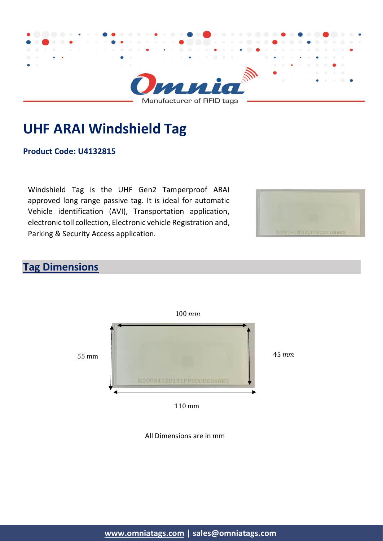

**UHF ARAI Windshield Tag**

**Product Code: U4132815**

Windshield Tag is the UHF Gen2 Tamperproof ARAI approved long range passive tag. It is ideal for automatic Vehicle identification (AVI), Transportation application, electronic toll collection, Electronic vehicle Registration and, Parking & Security Access application.



## **Tag Dimensions**



110 mm

All Dimensions are in mm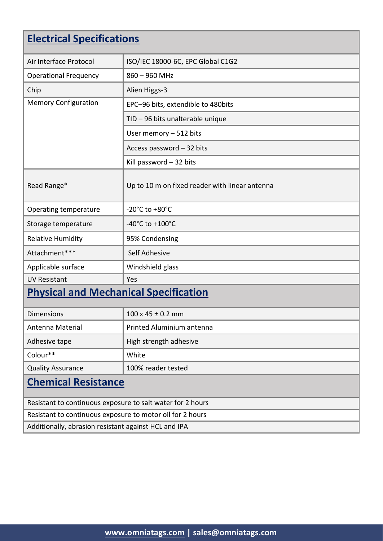# **Electrical Specifications**

| Air Interface Protocol                       | ISO/IEC 18000-6C, EPC Global C1G2              |  |
|----------------------------------------------|------------------------------------------------|--|
| <b>Operational Frequency</b>                 | $860 - 960$ MHz                                |  |
| Chip                                         | Alien Higgs-3                                  |  |
| <b>Memory Configuration</b>                  | EPC-96 bits, extendible to 480bits             |  |
|                                              | TID - 96 bits unalterable unique               |  |
|                                              | User memory - 512 bits                         |  |
|                                              | Access password - 32 bits                      |  |
|                                              | Kill password $-32$ bits                       |  |
| Read Range*                                  | Up to 10 m on fixed reader with linear antenna |  |
| Operating temperature                        | -20 $^{\circ}$ C to +80 $^{\circ}$ C           |  |
| Storage temperature                          | $-40^{\circ}$ C to $+100^{\circ}$ C            |  |
| <b>Relative Humidity</b>                     | 95% Condensing                                 |  |
| Attachment***                                | Self Adhesive                                  |  |
| Applicable surface                           | Windshield glass                               |  |
| <b>UV Resistant</b>                          | Yes                                            |  |
| <b>Physical and Mechanical Specification</b> |                                                |  |
| <b>Dimensions</b>                            | $100 \times 45 \pm 0.2$ mm                     |  |
| Antenna Material                             | Printed Aluminium antenna                      |  |
| Adhesive tape                                | High strength adhesive                         |  |
| Colour**                                     | White                                          |  |
| <b>Quality Assurance</b>                     | 100% reader tested                             |  |
| Chamical Posistance                          |                                                |  |

#### **Chemical Resistance**

Resistant to continuous exposure to salt water for 2 hours Resistant to continuous exposure to motor oil for 2 hours Additionally, abrasion resistant against HCL and IPA